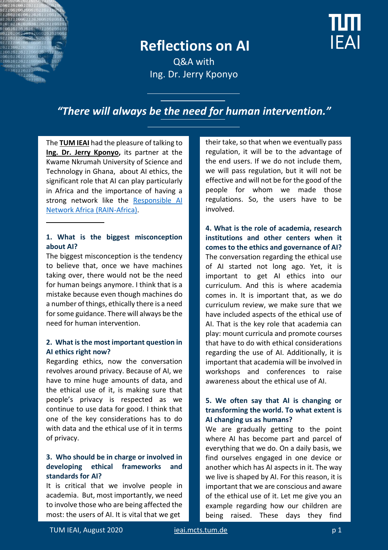## **Reflections on AI**



Q&A with Ing. Dr. Jerry Kponyo

### *"There will always be the need for human intervention."*

The **[TUM IEAI](https://ieai.mcts.tum.de/)** had the pleasure of talking to **[Ing. Dr. Jerry Kponyo,](https://webapps.knust.edu.gh/staff/dirsearch/profile/summary/3df2d15edde1.html)** its partner at the Kwame Nkrumah University of Science and Technology in Ghana, about AI ethics, the significant role that AI can play particularly in Africa and the importance of having a strong network like the Responsible AI [Network Africa \(RAIN-Africa\).](https://ieai.mcts.tum.de/responsible-ai-in-africa-network/)

#### **1. What is the biggest misconception about AI?**

The biggest misconception is the tendency to believe that, once we have machines taking over, there would not be the need for human beings anymore. I think that is a mistake because even though machines do a number of things, ethically there is a need for some guidance. There will always be the need for human intervention.

#### **2. What is the most important question in AI ethics right now?**

Regarding ethics, now the conversation revolves around privacy. Because of AI, we have to mine huge amounts of data, and the ethical use of it, is making sure that people's privacy is respected as we continue to use data for good. I think that one of the key considerations has to do with data and the ethical use of it in terms of privacy.

#### **3. Who should be in charge or involved in developing ethical frameworks and standards for AI?**

It is critical that we involve people in academia. But, most importantly, we need to involve those who are being affected the most: the users of AI. It is vital that we get

their take, so that when we eventually pass regulation, it will be to the advantage of the end users. If we do not include them, we will pass regulation, but it will not be effective and will not be for the good of the people for whom we made those regulations. So, the users have to be involved.

**4. What is the role of academia, research institutions and other centers when it comes to the ethics and governance of AI?** The conversation regarding the ethical use of AI started not long ago. Yet, it is important to get AI ethics into our curriculum. And this is where academia comes in. It is important that, as we do curriculum review, we make sure that we have included aspects of the ethical use of AI. That is the key role that academia can play: mount curricula and promote courses that have to do with ethical considerations regarding the use of AI. Additionally, it is important that academia will be involved in workshops and conferences to raise awareness about the ethical use of AI.

#### **5. We often say that AI is changing or transforming the world. To what extent is AI changing us as humans?**

We are gradually getting to the point where AI has become part and parcel of everything that we do. On a daily basis, we find ourselves engaged in one device or another which has AI aspects in it. The way we live is shaped by AI. For this reason, it is important that we are conscious and aware of the ethical use of it. Let me give you an example regarding how our children are being raised. These days they find